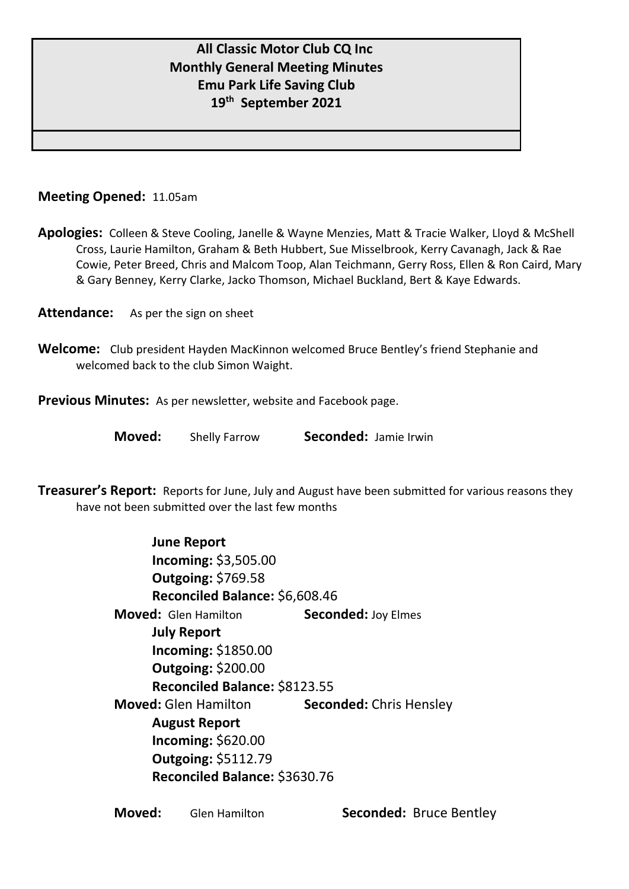# **All Classic Motor Club CQ Inc Monthly General Meeting Minutes Emu Park Life Saving Club 19 th September 2021**

### **Meeting Opened:** 11.05am

**Apologies:** Colleen & Steve Cooling, Janelle & Wayne Menzies, Matt & Tracie Walker, Lloyd & McShell Cross, Laurie Hamilton, Graham & Beth Hubbert, Sue Misselbrook, Kerry Cavanagh, Jack & Rae Cowie, Peter Breed, Chris and Malcom Toop, Alan Teichmann, Gerry Ross, Ellen & Ron Caird, Mary & Gary Benney, Kerry Clarke, Jacko Thomson, Michael Buckland, Bert & Kaye Edwards.

Attendance: As per the sign on sheet

**Welcome:** Club president Hayden MacKinnon welcomed Bruce Bentley's friend Stephanie and welcomed back to the club Simon Waight.

**Previous Minutes:** As per newsletter, website and Facebook page.

**Moved:** Shelly Farrow **Seconded:** Jamie Irwin

**Treasurer's Report:** Reports for June, July and August have been submitted for various reasons they have not been submitted over the last few months

| <b>June Report</b>             |                                |  |
|--------------------------------|--------------------------------|--|
| Incoming: \$3,505.00           |                                |  |
| <b>Outgoing: \$769.58</b>      |                                |  |
| Reconciled Balance: \$6,608.46 |                                |  |
| <b>Moved:</b> Glen Hamilton    | <b>Seconded: Joy Elmes</b>     |  |
| <b>July Report</b>             |                                |  |
| <b>Incoming: \$1850.00</b>     |                                |  |
| <b>Outgoing: \$200.00</b>      |                                |  |
| Reconciled Balance: \$8123.55  |                                |  |
| <b>Moved:</b> Glen Hamilton    | <b>Seconded: Chris Hensley</b> |  |
| <b>August Report</b>           |                                |  |
| <b>Incoming: \$620.00</b>      |                                |  |
| <b>Outgoing: \$5112.79</b>     |                                |  |
| Reconciled Balance: \$3630.76  |                                |  |

| Moved: | <b>Glen Hamilton</b> |
|--------|----------------------|
|--------|----------------------|

**Seconded: Bruce Bentley**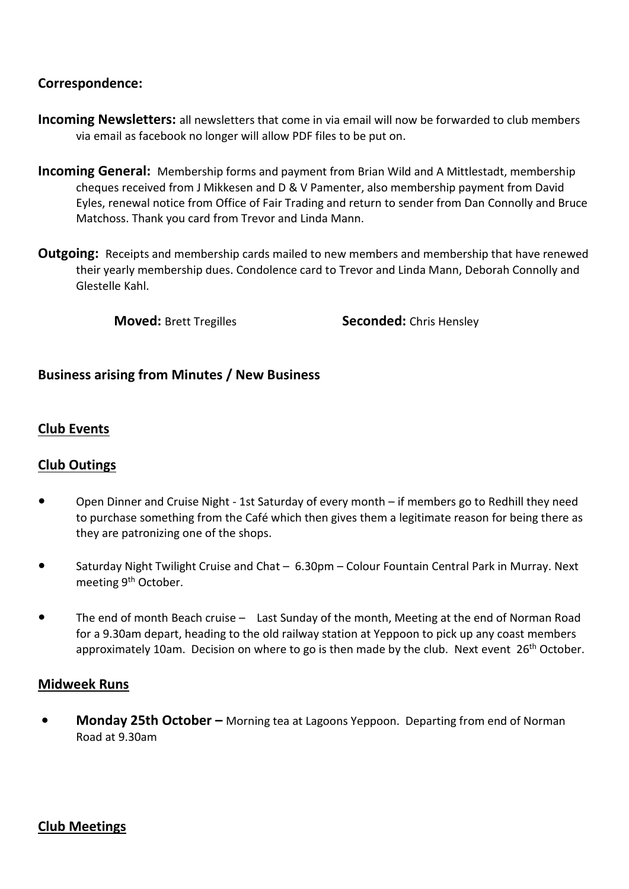## **Correspondence:**

- **Incoming Newsletters:** all newsletters that come in via email will now be forwarded to club members via email as facebook no longer will allow PDF files to be put on.
- **Incoming General:** Membership forms and payment from Brian Wild and A Mittlestadt, membership cheques received from J Mikkesen and D & V Pamenter, also membership payment from David Eyles, renewal notice from Office of Fair Trading and return to sender from Dan Connolly and Bruce Matchoss. Thank you card from Trevor and Linda Mann.
- **Outgoing:** Receipts and membership cards mailed to new members and membership that have renewed their yearly membership dues. Condolence card to Trevor and Linda Mann, Deborah Connolly and Glestelle Kahl.

**Moved:** Brett Tregilles **Seconded:** Chris Hensley

## **Business arising from Minutes / New Business**

## **Club Events**

### **Club Outings**

- **•** Open Dinner and Cruise Night 1st Saturday of every month if members go to Redhill they need to purchase something from the Café which then gives them a legitimate reason for being there as they are patronizing one of the shops.
- **•** Saturday Night Twilight Cruise and Chat 6.30pm Colour Fountain Central Park in Murray. Next meeting 9<sup>th</sup> October.
- **•** The end of month Beach cruise Last Sunday of the month, Meeting at the end of Norman Road for a 9.30am depart, heading to the old railway station at Yeppoon to pick up any coast members approximately 10am. Decision on where to go is then made by the club. Next event  $26<sup>th</sup>$  October.

### **Midweek Runs**

**• Monday 25th October –** Morning tea at Lagoons Yeppoon. Departing from end of Norman Road at 9.30am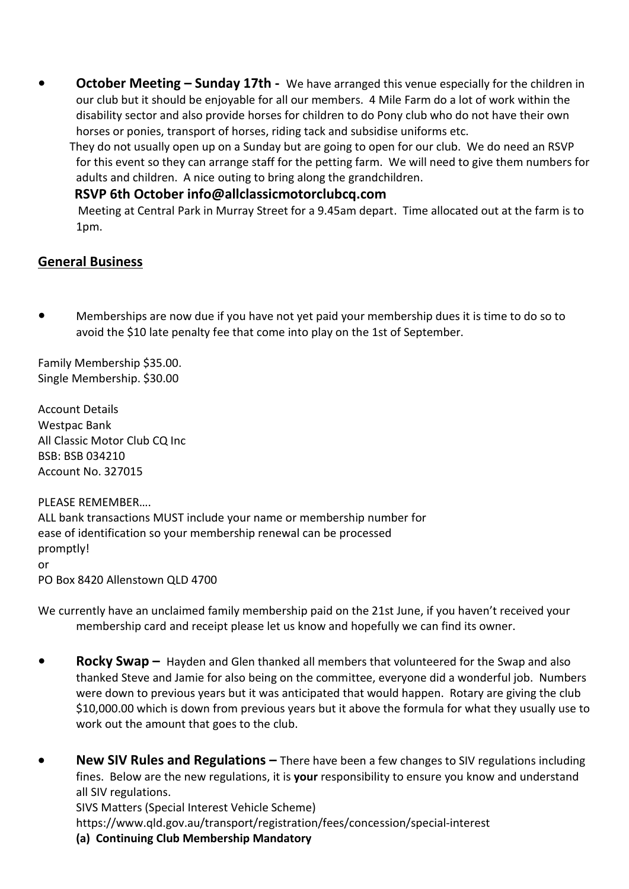**• October Meeting – Sunday 17th -** We have arranged this venue especially for the children in our club but it should be enjoyable for all our members. 4 Mile Farm do a lot of work within the disability sector and also provide horses for children to do Pony club who do not have their own horses or ponies, transport of horses, riding tack and subsidise uniforms etc.

 They do not usually open up on a Sunday but are going to open for our club. We do need an RSVP for this event so they can arrange staff for the petting farm. We will need to give them numbers for adults and children. A nice outing to bring along the grandchildren.

## **RSVP 6th October info@allclassicmotorclubcq.com**

Meeting at Central Park in Murray Street for a 9.45am depart. Time allocated out at the farm is to 1pm.

## **General Business**

**•** Memberships are now due if you have not yet paid your membership dues it is time to do so to avoid the \$10 late penalty fee that come into play on the 1st of September.

Family Membership \$35.00. Single Membership. \$30.00

Account Details Westpac Bank All Classic Motor Club CQ Inc BSB: BSB 034210 Account No. 327015

PLEASE REMEMBER…. ALL bank transactions MUST include your name or membership number for ease of identification so your membership renewal can be processed promptly! or PO Box 8420 Allenstown QLD 4700

We currently have an unclaimed family membership paid on the 21st June, if you haven't received your membership card and receipt please let us know and hopefully we can find its owner.

- **Rocky Swap –** Hayden and Glen thanked all members that volunteered for the Swap and also thanked Steve and Jamie for also being on the committee, everyone did a wonderful job. Numbers were down to previous years but it was anticipated that would happen. Rotary are giving the club \$10,000.00 which is down from previous years but it above the formula for what they usually use to work out the amount that goes to the club.
- **New SIV Rules and Regulations –** There have been a few changes to SIV regulations including fines. Below are the new regulations, it is **your** responsibility to ensure you know and understand all SIV regulations. SIVS Matters (Special Interest Vehicle Scheme) https://www.qld.gov.au/transport/registration/fees/concession/special-interest
	- **(a) Continuing Club Membership Mandatory**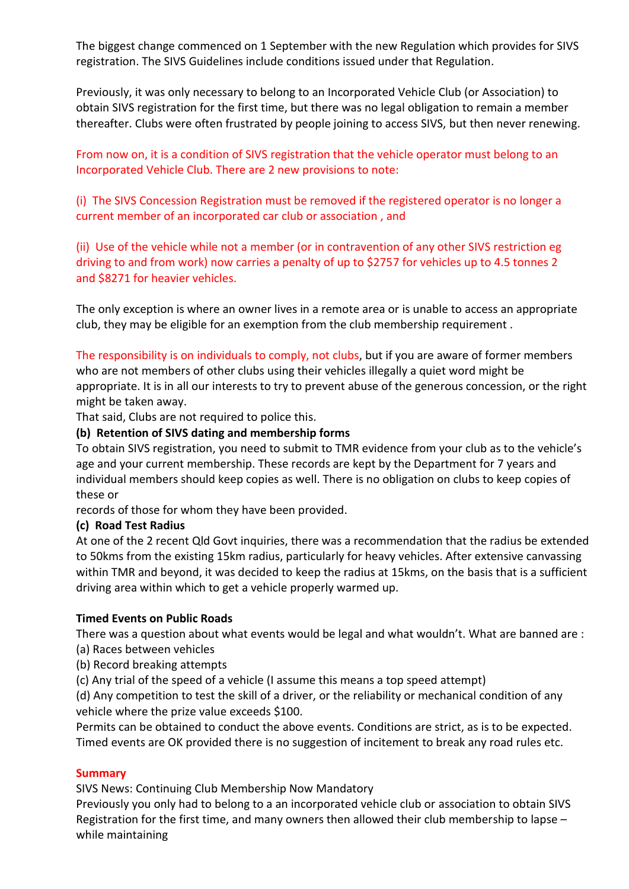The biggest change commenced on 1 September with the new Regulation which provides for SIVS registration. The SIVS Guidelines include conditions issued under that Regulation.

Previously, it was only necessary to belong to an Incorporated Vehicle Club (or Association) to obtain SIVS registration for the first time, but there was no legal obligation to remain a member thereafter. Clubs were often frustrated by people joining to access SIVS, but then never renewing.

From now on, it is a condition of SIVS registration that the vehicle operator must belong to an Incorporated Vehicle Club. There are 2 new provisions to note:

(i) The SIVS Concession Registration must be removed if the registered operator is no longer a current member of an incorporated car club or association , and

(ii) Use of the vehicle while not a member (or in contravention of any other SIVS restriction eg driving to and from work) now carries a penalty of up to \$2757 for vehicles up to 4.5 tonnes 2 and \$8271 for heavier vehicles.

The only exception is where an owner lives in a remote area or is unable to access an appropriate club, they may be eligible for an exemption from the club membership requirement .

The responsibility is on individuals to comply, not clubs, but if you are aware of former members who are not members of other clubs using their vehicles illegally a quiet word might be appropriate. It is in all our interests to try to prevent abuse of the generous concession, or the right might be taken away.

That said, Clubs are not required to police this.

#### **(b) Retention of SIVS dating and membership forms**

To obtain SIVS registration, you need to submit to TMR evidence from your club as to the vehicle's age and your current membership. These records are kept by the Department for 7 years and individual members should keep copies as well. There is no obligation on clubs to keep copies of these or

records of those for whom they have been provided.

#### **(c) Road Test Radius**

At one of the 2 recent Qld Govt inquiries, there was a recommendation that the radius be extended to 50kms from the existing 15km radius, particularly for heavy vehicles. After extensive canvassing within TMR and beyond, it was decided to keep the radius at 15kms, on the basis that is a sufficient driving area within which to get a vehicle properly warmed up.

#### **Timed Events on Public Roads**

There was a question about what events would be legal and what wouldn't. What are banned are :

- (a) Races between vehicles
- (b) Record breaking attempts

(c) Any trial of the speed of a vehicle (I assume this means a top speed attempt)

(d) Any competition to test the skill of a driver, or the reliability or mechanical condition of any vehicle where the prize value exceeds \$100.

Permits can be obtained to conduct the above events. Conditions are strict, as is to be expected. Timed events are OK provided there is no suggestion of incitement to break any road rules etc.

#### **Summary**

SIVS News: Continuing Club Membership Now Mandatory

Previously you only had to belong to a an incorporated vehicle club or association to obtain SIVS Registration for the first time, and many owners then allowed their club membership to lapse – while maintaining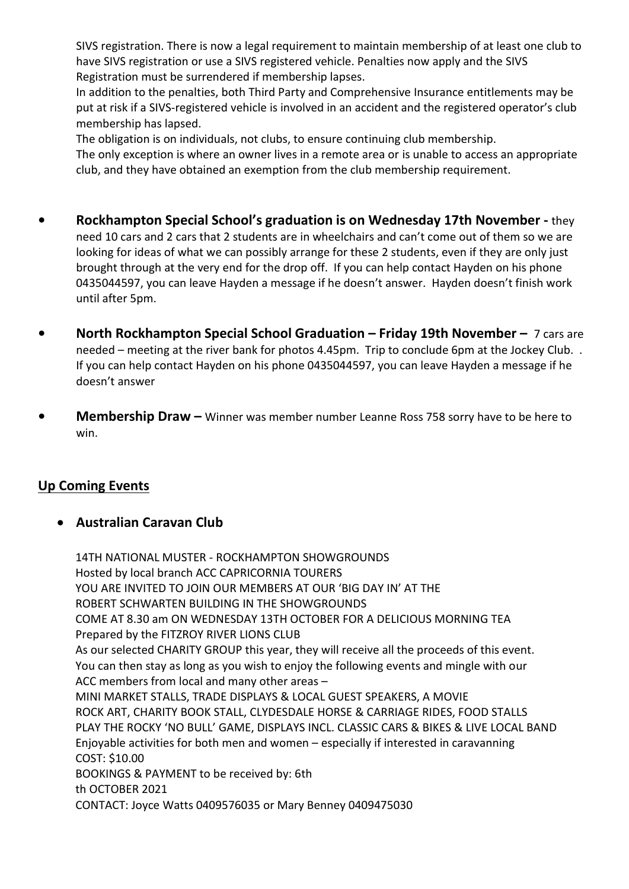SIVS registration. There is now a legal requirement to maintain membership of at least one club to have SIVS registration or use a SIVS registered vehicle. Penalties now apply and the SIVS Registration must be surrendered if membership lapses.

In addition to the penalties, both Third Party and Comprehensive Insurance entitlements may be put at risk if a SIVS-registered vehicle is involved in an accident and the registered operator's club membership has lapsed.

The obligation is on individuals, not clubs, to ensure continuing club membership.

The only exception is where an owner lives in a remote area or is unable to access an appropriate club, and they have obtained an exemption from the club membership requirement.

- **• Rockhampton Special School's graduation is on Wednesday 17th November -** they need 10 cars and 2 cars that 2 students are in wheelchairs and can't come out of them so we are looking for ideas of what we can possibly arrange for these 2 students, even if they are only just brought through at the very end for the drop off. If you can help contact Hayden on his phone 0435044597, you can leave Hayden a message if he doesn't answer. Hayden doesn't finish work until after 5pm.
- **• North Rockhampton Special School Graduation – Friday 19th November –** 7 cars are needed – meeting at the river bank for photos 4.45pm. Trip to conclude 6pm at the Jockey Club. . If you can help contact Hayden on his phone 0435044597, you can leave Hayden a message if he doesn't answer
- **• Membership Draw –** Winner was member number Leanne Ross 758 sorry have to be here to win.

# **Up Coming Events**

## • **Australian Caravan Club**

14TH NATIONAL MUSTER - ROCKHAMPTON SHOWGROUNDS Hosted by local branch ACC CAPRICORNIA TOURERS YOU ARE INVITED TO JOIN OUR MEMBERS AT OUR 'BIG DAY IN' AT THE ROBERT SCHWARTEN BUILDING IN THE SHOWGROUNDS COME AT 8.30 am ON WEDNESDAY 13TH OCTOBER FOR A DELICIOUS MORNING TEA Prepared by the FITZROY RIVER LIONS CLUB As our selected CHARITY GROUP this year, they will receive all the proceeds of this event. You can then stay as long as you wish to enjoy the following events and mingle with our ACC members from local and many other areas – MINI MARKET STALLS, TRADE DISPLAYS & LOCAL GUEST SPEAKERS, A MOVIE ROCK ART, CHARITY BOOK STALL, CLYDESDALE HORSE & CARRIAGE RIDES, FOOD STALLS PLAY THE ROCKY 'NO BULL' GAME, DISPLAYS INCL. CLASSIC CARS & BIKES & LIVE LOCAL BAND Enjoyable activities for both men and women – especially if interested in caravanning COST: \$10.00 BOOKINGS & PAYMENT to be received by: 6th th OCTOBER 2021 CONTACT: Joyce Watts 0409576035 or Mary Benney 0409475030